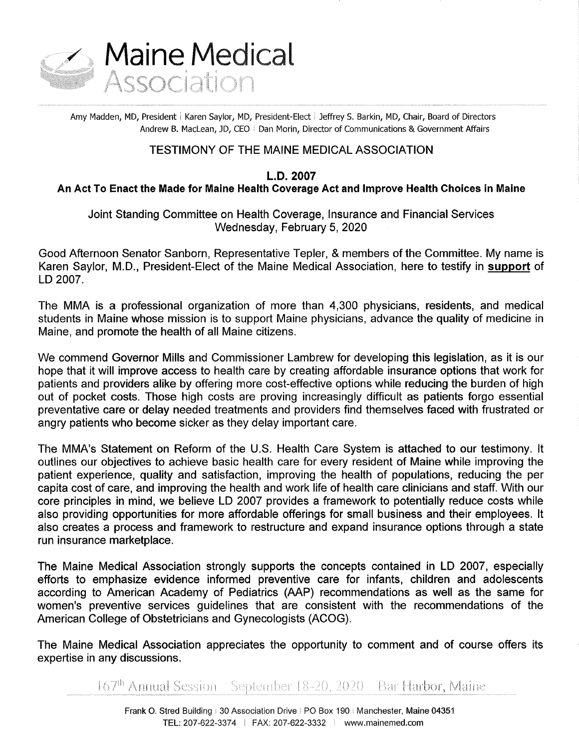

Amy Madden, MD, President | Karen Saylor, MD, President-Elect | Jeffrey S. Barkin, MD, Chair, Board of Directors Andrew B. MacLean, JD, CEO | Dan Morin, Director of Communications & Government Affairs

# TESTIMONY OF THE MAINE MEDICAL ASSOCIATION

L.D. 2007

An Act To Enact the Made for Maine Health Coverage Act and Improve Health Choices in Maine

Joint Standing Committee on Health Coverage, Insurance and Financial Services Wednesday, February 5, 2020

Good Afternoon Senator Sanborn, Representative Tepler, & members of the Committee. My name is Karen Saylor, M.D., President-Elect of the Maine Medical Association, here to testify in support of LD 2007.

The MMA is a professional organization of more than 4,300 physicians, residents, and medical students in Maine whose mission is to support Maine physicians, advance the quality of medicine in Maine, and promote the health of all Maine citizens.

We commend Governor Mills and Commissioner Lambrew for developing this legislation, as it is our hope that it will improve access to health care by creating affordable insurance options that work for patients and providers alike by offering more cost-effective options while reducing the burden of high out of pocket costs. Those high costs are proving increasingly difficult as patients forgo essential preventative care or delay needed treatments and providers find themselves faced with frustrated or angry patients who become sicker as they delay important care.

The MMA's Statement on Reform of the U.S. Health Care System is attached to our testimony. It outlines our objectives to achieve basic health care for every resident of Maine while improving the patient experience, quality and satisfaction, improving the health of populations, reducing the per capita cost of care, and improving the health and work life of health care clinicians and staff. With our core principles in mind, we believe LD 2007 provides a framework to potentially reduce costs while also providing opportunities for more affordable offerings for small business and their employees. lt also creates a process and framework to restructure and expand insurance options through a state run insurance marketplace.

The Maine Medical Association strongly supports the concepts contained in LD 2007, especially efforts to emphasize evidence informed preventive care for infants, children and adolescents according to American Academy of Pediatrics (AAP) recommendations as well as the same for women's preventive services guidelines that are consistent with the recommendations of the American College of Obstetricians and Gynecologists (ACOG).

The Maine Medical Association appreciates the opportunity to comment and of course offers its expertise in any discussions.

167<sup>th</sup> Annual Session – September 18-20, 2020 – Bar Harbor, Maine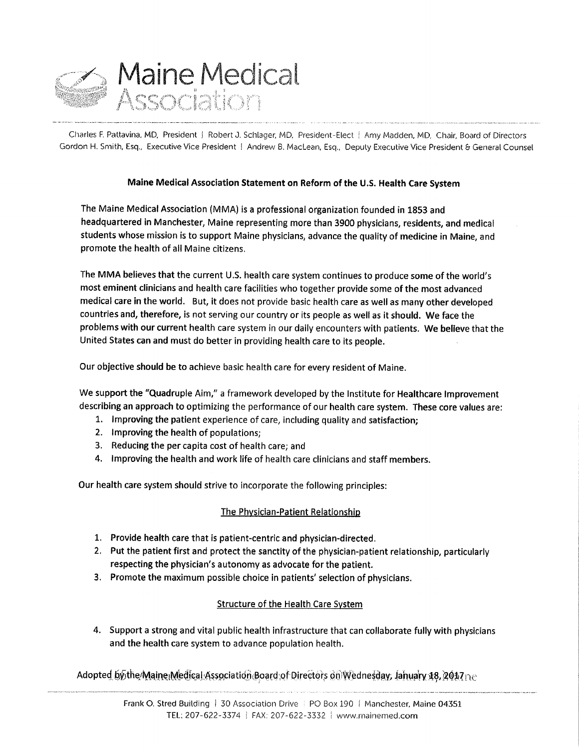

Charles F. Pattavina, MD, President | Robert J. Schlager, MD, President-Elect | Amy Madden, MD, Chair, Board of Directors Gordon H. Smith, Esq., Executive Vice President | Andrew B. MacLean, Esq., Deputy Executive Vice President & General Counsel

# Maine Medical Association Statement on Reform of the U.S. Health Care System

The Maine Medical Association (MMA) is a professional organization founded in 1853 and headquartered in Manchester, Maine representing more than 3900 physicians, residents, and medical students whose mission is to support Maine physicians, advance the quality of medicine in Maine, and promote the health of all Maine citizens.

The MMA believes that the current U.S. health care system continues to produce some of the world's most eminent clinicians and health care facilities who together provide some of the most advanced medical care in the world. But, it does not provide basic health care as well as many other developed countries and, therefore, is not serving our country or its people as well as it should. We face the problems with our current health care system in our daily encounters with patients. We believe that the United States can and must do better in providing health care to its people. -

Our objective should be to achieve basic health care for every resident of Maine.

We support the "Quadruple Aim," a framework developed by the Institute for Healthcare Improvement describing an approach to optimizing the performance of our health care system. These core values are:

- 1. improving the patient experience of care, including quality and satisfaction;
- 2. improving the health of populations;
- . Reducing the per capita cost of health care; and
- 4. Improving the health and work life of health care clinicians and staff members.

Our health care system should strive to incorporate the following principles:

## The Physician-Patient Relationship

- 1. Provide health care that is patient-centric and physician-directed.
- 2. Put the patient first and protect the sanctity of the physician-patient relationship, particularly respecting the physician's autonomy as advocate for the patient.
- 3. Promote the maximum possible choice in patients' selection of physicians.

# Structure of the Health Care System

4. Support a strong and vital public health infrastructure that can collaborate fully with physicians and the health care system to advance population health.

Adopted.bythe Maine Medical:Association Board: of Directors on Wednesday, Jahuary 18, 2017 ne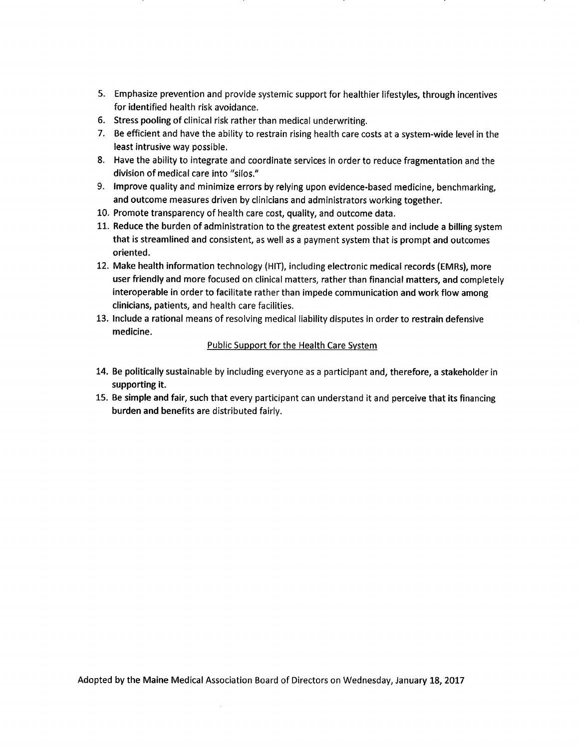- Emphasize prevention and provide systemic support for healthier lifestyles, through incentives for identified health risk avoidance.
- Stress pooling of clinical risk rather than medical underwriting.
- 7. Be efficient and have the ability to restrain rising health care costs at a system-wide level in the least intrusive way possible.
- Have the ability to integrate and coordinate services in order to reduce fragmentation and the division of medical care into "silos."
- 9. Improve quality and minimize errors by relying upon evidence-based medicine, benchmarking, and outcome measures driven by clinicians and administrators working together.
- 10. Promote transparency of health care cost, quality, and outcome data.
- 11. Reduce the burden of administration to the greatest extent possible and include a billing system that is streamlined and consistent, as well as a payment system that is prompt and outcomes oriented.
- Make health information technology (HIT), including electronic medical records (EMRs), more user friendly and more focused on clinical matters, rather than financial matters, and completely interoperable in order to facilitate rather than impede communication and work flow among clinicians, patients, and health care facilities.
- 13. Include a rational means of resolving medical liability disputes in order to restrain defensive medicine.

### Public Support for the Health Care System

- 14. Be politically sustainable by including everyone as a participant and, therefore, a stakeholder in supporting it.
- 15. Be simple and fair, such that every participant can understand it and perceive that its financing burden and benefits are distributed fairly.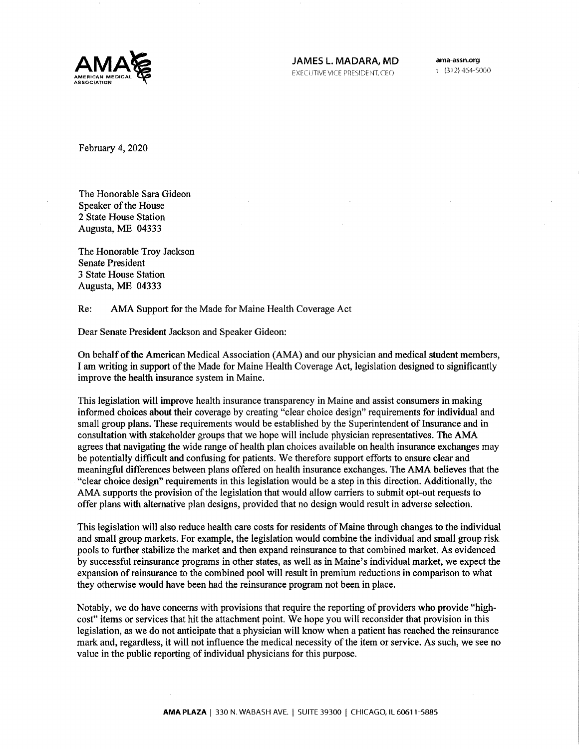

 $t$  (312) 464-5000

February 4, 2020

The Honorable Sara Gideon Speaker of the House 2 State House Station Augusta, ME <sup>04333</sup>

The Honorable Troy Jackson Senate President 3 State House Station Augusta, ME <sup>04333</sup>

#### Re: AMA Support for the Made for Maine Health Coverage Act

Dear Senate President Jackson and Speaker Gideon:

On behalf of the American Medical Association (AMA) and our physician and medical student members, I am writing in support of the Made for Maine Health Coverage Act, legislation designed to significantly improve the health insurance system in Maine.

This legislation will improve health insurance transparency in Maine and assist consumers in making informed choices about their coverage by creating "clear choice design" requirements for individual and small group plans. These requirements would be established by the Superintendent of Insurance and in consultation with stakeholder groups that we hope will include physician representatives. The AMA agrees that navigating the wide range of health plan choices available on health insurance exchanges may be potentially difficult and confusing for patients. We therefore support efforts to ensure clear and meaningful differences between plans offered on health insurance exchanges. The AMA believes that the "clear choice design" requirements in this legislation would be a step in this direction. Additionally, the AMA supports the provision of the legislation that would allow carriers to submit opt-out requests to offer plans with altemative plan designs, provided that no design would result in adverse selection.

This legislation will also reduce health care costs for residents of Maine through changes to the individual and small group markets. For example, the legislation would combine the individual and small group risk pools to further stabilize the market and then expand reinsurance to that combined market. As evidenced by successful reinsurance programs in other states, as well as in Maine's individual market, we expect the expansion of reinsurance to the combined pool will result in premium reductions in comparison to what they otherwise would have been had the reinsurance program not been in place.

Notably, we do have concerns with provisions that require the reporting of providers who provide "highcost" items or services that hit the attachment point. We hope you will reconsider that provision in this legislation, as we do not anticipate that a physician will know when a patient has reached the reinsurance mark and, regardless, it will not influence the medical necessity of the item or service. As such, we see no value in the public reporting of individual physicians for this purpose.